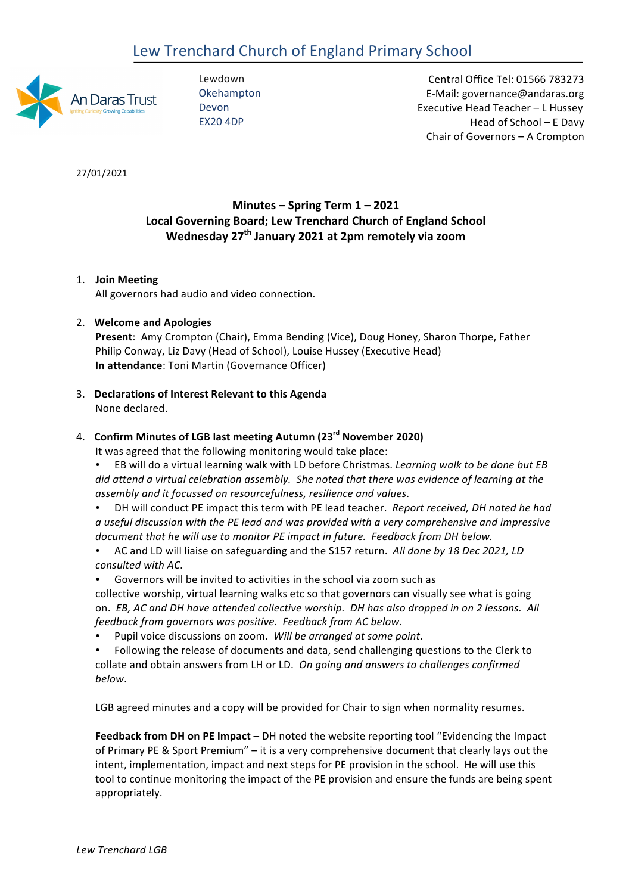# Lew Trenchard Church of England Primary School



Lewdown Okehampton Devon EX20 4DP

 Central Office Tel: 01566 783273 E-Mail: governance@andaras.org Executive Head Teacher - L Hussey Head of School – E Davy Chair of Governors - A Crompton

27/01/2021 

# **Minutes – Spring Term 1 – 2021 Local Governing Board; Lew Trenchard Church of England School Wednesday 27th January 2021 at 2pm remotely via zoom**

## 1. **Join Meeting**

All governors had audio and video connection.

## 2. **Welcome and Apologies**

Present: Amy Crompton (Chair), Emma Bending (Vice), Doug Honey, Sharon Thorpe, Father Philip Conway, Liz Davy (Head of School), Louise Hussey (Executive Head) **In attendance**: Toni Martin (Governance Officer) 

3. **Declarations of Interest Relevant to this Agenda** None declared.

# 4. **Confirm Minutes of LGB last meeting Autumn (23rd November 2020)**

It was agreed that the following monitoring would take place:

- EB will do a virtual learning walk with LD before Christmas. *Learning walk to be done but EB did* attend a virtual celebration assembly. She noted that there was evidence of learning at the *assembly and it focussed on resourcefulness, resilience and values*.
- DH will conduct PE impact this term with PE lead teacher. *Report received, DH noted he had* a useful discussion with the PE lead and was provided with a very comprehensive and impressive document that he will use to monitor PE impact in future. Feedback from DH below.
- AC and LD will liaise on safeguarding and the S157 return. *All done by 18 Dec 2021, LD consulted with AC*.
- Governors will be invited to activities in the school via zoom such as

collective worship, virtual learning walks etc so that governors can visually see what is going on. *EB, AC* and DH have attended collective worship. DH has also dropped in on 2 lessons. All *feedback from governors was positive. Feedback from AC below*. 

- Pupil voice discussions on zoom. Will be arranged at some point.
- Following the release of documents and data, send challenging questions to the Clerk to collate and obtain answers from LH or LD. On going and answers to challenges confirmed *below*.

LGB agreed minutes and a copy will be provided for Chair to sign when normality resumes.

**Feedback from DH on PE Impact** – DH noted the website reporting tool "Evidencing the Impact of Primary PE & Sport Premium" – it is a very comprehensive document that clearly lays out the intent, implementation, impact and next steps for PE provision in the school. He will use this tool to continue monitoring the impact of the PE provision and ensure the funds are being spent appropriately.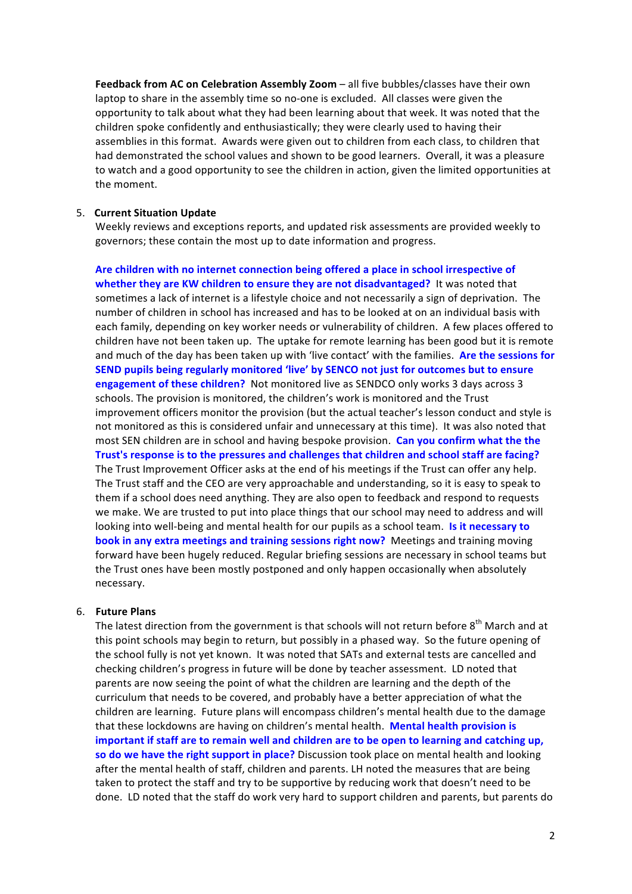**Feedback from AC on Celebration Assembly Zoom – all five bubbles/classes have their own** laptop to share in the assembly time so no-one is excluded. All classes were given the opportunity to talk about what they had been learning about that week. It was noted that the children spoke confidently and enthusiastically; they were clearly used to having their assemblies in this format. Awards were given out to children from each class, to children that had demonstrated the school values and shown to be good learners. Overall, it was a pleasure to watch and a good opportunity to see the children in action, given the limited opportunities at the moment.

#### 5. **Current Situation Update**

Weekly reviews and exceptions reports, and updated risk assessments are provided weekly to governors; these contain the most up to date information and progress. 

Are children with no internet connection being offered a place in school irrespective of whether they are KW children to ensure they are not disadvantaged? It was noted that sometimes a lack of internet is a lifestyle choice and not necessarily a sign of deprivation. The number of children in school has increased and has to be looked at on an individual basis with each family, depending on key worker needs or vulnerability of children. A few places offered to children have not been taken up. The uptake for remote learning has been good but it is remote and much of the day has been taken up with 'live contact' with the families. Are the sessions for **SEND pupils being regularly monitored 'live' by SENCO not just for outcomes but to ensure engagement of these children?** Not monitored live as SENDCO only works 3 days across 3 schools. The provision is monitored, the children's work is monitored and the Trust improvement officers monitor the provision (but the actual teacher's lesson conduct and style is not monitored as this is considered unfair and unnecessary at this time). It was also noted that most SEN children are in school and having bespoke provision. Can you confirm what the the Trust's response is to the pressures and challenges that children and school staff are facing? The Trust Improvement Officer asks at the end of his meetings if the Trust can offer any help. The Trust staff and the CEO are very approachable and understanding, so it is easy to speak to them if a school does need anything. They are also open to feedback and respond to requests we make. We are trusted to put into place things that our school may need to address and will looking into well-being and mental health for our pupils as a school team. Is it necessary to **book in any extra meetings and training sessions right now?** Meetings and training moving forward have been hugely reduced. Regular briefing sessions are necessary in school teams but the Trust ones have been mostly postponed and only happen occasionally when absolutely necessary.

#### 6. **Future Plans**

The latest direction from the government is that schools will not return before 8<sup>th</sup> March and at this point schools may begin to return, but possibly in a phased way. So the future opening of the school fully is not yet known. It was noted that SATs and external tests are cancelled and checking children's progress in future will be done by teacher assessment. LD noted that parents are now seeing the point of what the children are learning and the depth of the curriculum that needs to be covered, and probably have a better appreciation of what the children are learning. Future plans will encompass children's mental health due to the damage that these lockdowns are having on children's mental health. **Mental health provision is important if staff are to remain well and children are to be open to learning and catching up, so do we have the right support in place?** Discussion took place on mental health and looking after the mental health of staff, children and parents. LH noted the measures that are being taken to protect the staff and try to be supportive by reducing work that doesn't need to be done. LD noted that the staff do work very hard to support children and parents, but parents do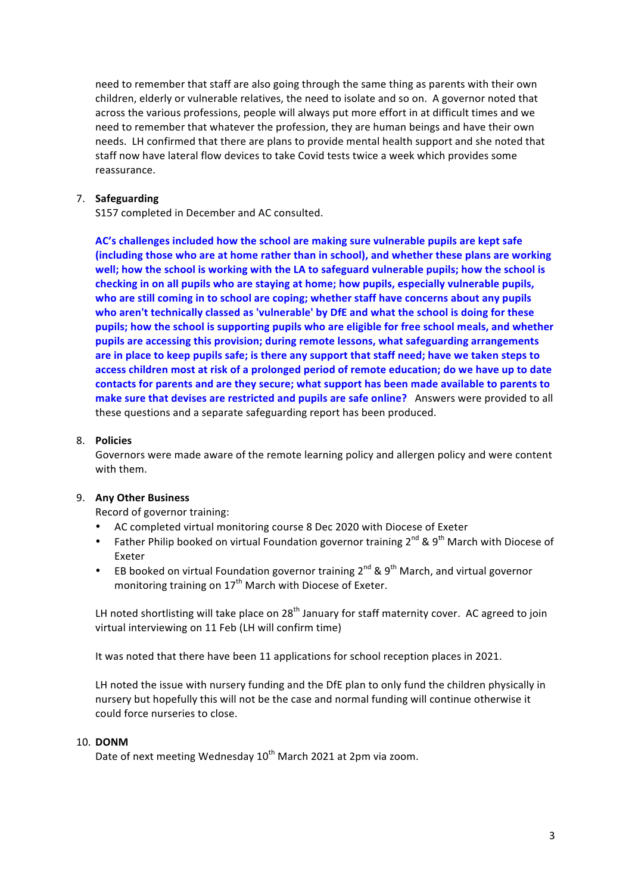need to remember that staff are also going through the same thing as parents with their own children, elderly or vulnerable relatives, the need to isolate and so on. A governor noted that across the various professions, people will always put more effort in at difficult times and we need to remember that whatever the profession, they are human beings and have their own needs. LH confirmed that there are plans to provide mental health support and she noted that staff now have lateral flow devices to take Covid tests twice a week which provides some reassurance.

#### 7. **Safeguarding**

S157 completed in December and AC consulted. 

AC's challenges included how the school are making sure vulnerable pupils are kept safe (including those who are at home rather than in school), and whether these plans are working well; how the school is working with the LA to safeguard vulnerable pupils; how the school is checking in on all pupils who are staying at home; how pupils, especially vulnerable pupils, who are still coming in to school are coping; whether staff have concerns about any pupils who aren't technically classed as 'vulnerable' by DfE and what the school is doing for these pupils; how the school is supporting pupils who are eligible for free school meals, and whether pupils are accessing this provision; during remote lessons, what safeguarding arrangements are in place to keep pupils safe; is there any support that staff need; have we taken steps to access children most at risk of a prolonged period of remote education; do we have up to date contacts for parents and are they secure; what support has been made available to parents to **make sure that devises are restricted and pupils are safe online?** Answers were provided to all these questions and a separate safeguarding report has been produced.

#### 8. **Policies**

Governors were made aware of the remote learning policy and allergen policy and were content with them.

#### 9. **Any Other Business**

Record of governor training:

- AC completed virtual monitoring course 8 Dec 2020 with Diocese of Exeter
- Father Philip booked on virtual Foundation governor training  $2^{nd}$  & 9<sup>th</sup> March with Diocese of Exeter
- EB booked on virtual Foundation governor training  $2^{nd}$  & 9<sup>th</sup> March, and virtual governor monitoring training on  $17<sup>th</sup>$  March with Diocese of Exeter.

LH noted shortlisting will take place on 28<sup>th</sup> January for staff maternity cover. AC agreed to join virtual interviewing on 11 Feb (LH will confirm time)

It was noted that there have been 11 applications for school reception places in 2021.

LH noted the issue with nursery funding and the DfE plan to only fund the children physically in nursery but hopefully this will not be the case and normal funding will continue otherwise it could force nurseries to close.

#### 10. **DONM**

Date of next meeting Wednesday 10<sup>th</sup> March 2021 at 2pm via zoom.